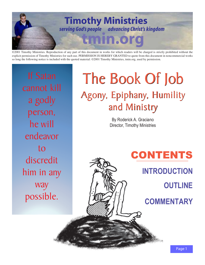

©2001 Timothy Ministries. Reproduction of any part of this document in works for which readers will be charged is strictly prohibited without the explicit permission of Timothy Ministries for such use. PERMISSION IS HEREBY GRANTED to quote from this document in noncommercial works so long the following notice is included with the quoted material: ©2001 Timothy Ministries, tmin.org, used by permission.

cannot kill a godly person, he will endeavor to discredit him in any way possible.

# The Book Of Job The Book Of Job Agony, Epiphany, Humility Agony, Epiphany, Humility and Ministry and Ministry

By Roderick A. Graciano Director, Timothy Ministries

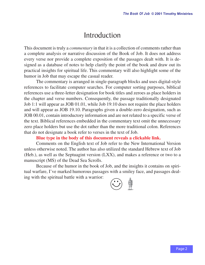### Introduction

<span id="page-1-0"></span>This document is truly a *commentary* in that it is a collection of comments rather than a complete analysis or narrative discussion of the Book of Job. It does not address every verse nor provide a complete exposition of the passages dealt with. It is designed as a database of notes to help clarify the point of the book and draw out its practical insights for spiritual life. This commentary will also highlight some of the humor in Job that may escape the casual reader.

The commentary is arranged in single-paragraph blocks and uses digital-style references to facilitate computer searches. For computer sorting purposes, biblical references use a three-letter designation for book titles and zeroes as place holders in the chapter and verse numbers. Consequently, the passage traditionally designated Job 1:1 will appear as JOB 01.01, while Job 19:10 does not require the place holders and will appear as JOB 19.10. Paragraphs given a double-zero designation, such as JOB 00.01, contain introductory information and are not related to a specific verse of the text. Biblical references embedded in the commentary text omit the unnecessary zero place holders but use the dot rather than the more traditional colon. References that do not designate a book refer to verses in the text of Job.

### **Blue type in the body of this document reveals a clickable link.**

Comments on the English text of Job refer to the New International Version unless otherwise noted. The author has also utilized the standard Hebrew text of Job (Heb.), as well as the Septuagint version (LXX), and makes a reference or two to a manuscript (MS) of the Dead Sea Scrolls.

Because of the humor in the book of Job, and the insights it contains on spiritual warfare, I've marked humorous passages with a smiley face, and passages dealing with the spiritual battle with a warrior:

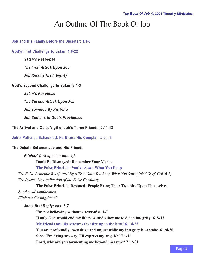### An Outline Of The Book Of Job

<span id="page-2-0"></span>**[Job and His Family Before the Disaster: 1.1-5](#page-5-0)**

**[God's First Challenge to Satan: 1.6-22](#page-6-0)**

*Satan's Response*

*The First Attack Upon Job*

*Job Retains His Integrity*

**God's Second Challenge to Satan: 2.1-3**

*Satan's Response*

*The Second Attack Upon Job*

*Job Tempted By His Wife*

*Job Submits to God's Providence*

**The Arrival and Quiet Vigil of Job's Three Friends: 2.11-13**

**[Job's Patience Exhausted, He Utters His Complaint: ch. 3](#page-7-0)**

**The Debate Between Job and His Friends**

*Eliphaz' first speech: chs. 4,5* **Don't Be Dismayed; Remember Your Merits [The False Principle: You've Sown What You Reap](#page-7-0)**

*The False Principle Reinforced By A True One: You Reap What You Sow (Job 4.8; cf. Gal. 6.7) The Insensitive Application of the False Corollary*

### **The False Principle Restated: People Bring Their Troubles Upon Themselves**

*Another Misapplication Eliphaz's Closing Punch*

*Job's first Reply: chs. 6,7*

**I'm not bellowing without a reason! 6. 1-7 If only God would end my life now, and allow me to die in integrity! 6. 8-13 [My friends are like streams that dry up in the heat! 6. 14-23](#page-8-0) You are profoundly insensitive and unjust while my integrity is at stake. 6. 24-30 Since I'm dying anyway, I'll express my anguish! 7.1-11 Lord, why are you tormenting me beyond measure? 7.12-21**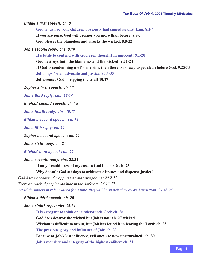<span id="page-3-0"></span>*Bildad's first speech: ch. 8*

**[God is just, so your children obviously had sinned against Him. 8.1-4](#page-8-0)**

**If you are pure, God will prosper you more than before. 8.5-7**

**God blesses the blameless and wrecks the wicked. 8.8-22**

*Job's second reply: chs. 9,10*

**[It's futile to contend with God even though I'm innocent! 9.1-20](#page-8-0)**

**God destroys both the blameless and the wicked! 9.21-24**

**If God is condemning me for my sins, then there is no way to get clean before God. 9.25-35 [Job longs for an advocate and justice. 9.33-35](#page-9-0)**

**Job accuses God of rigging the trial! 10.17**

*Zophar's first speech: ch. 11*

*[Job's third reply: chs. 12-14](#page-9-0)*

*Eliphaz' second speech: ch. 15*

*[Job's fourth reply: chs. 16,17](#page-9-0)*

*[Bildad's second speech: ch. 18](#page-9-0)*

*[Job's fifth reply: ch. 19](#page-10-0)*

*Zophar's second speech: ch. 20*

*Job's sixth reply: ch. 21*

*[Eliphaz' third speech: ch. 22](#page-10-0)*

*Job's seventh reply: chs. 23,24*

**If only I could present my case to God in court!: ch. 23**

**Why doesn't God set days to arbitrate disputes and dispense justice?**

*God does not charge the oppressor with wrongdoing: 24.2-12*

*There are wicked people who hide in the darkness: 24.13-17*

*[Yet while sinners may be exalted for a time, they will be snatched away by destruction: 24.18-25](#page-10-0)*

*Bildad's third speech: ch. 25*

*Job's eighth reply: chs. 26-31*

**[It is arrogant to think one understands God: ch. 26](#page-10-0) God does destroy the wicked but Job is not: ch. 27 wicked Wisdom is difficult to attain, but Job has found it in fearing the Lord: ch. 28 [The previous glory and influence of Job: ch. 29](#page-10-0) Because of Job's lost influence, evil ones are now unrestrained: ch. 30 [Job's morality and integrity of the highest caliber: ch. 31](#page-10-0)**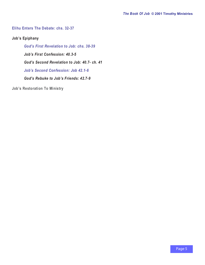### <span id="page-4-0"></span>**[Elihu Enters The Debate: chs. 32-37](#page-10-0)**

**Job's Epiphany**

*[God's First Revelation to Job: chs. 38-39](#page-11-0) Job's First Confession: 40.3-5 God's Second Revelation to Job: 40.7- ch. 41 [Job's Second Confession: Job 42.1-6](#page-11-0) God's Rebuke to Job's Friends: 42.7-9*

**Job's Restoration To Ministry**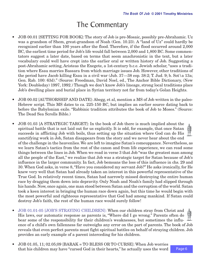## The Commentary

- <span id="page-5-0"></span>• JOB 00.01 [SETTING FOR BOOK]: The story of Job is pre-Mosaic, possibly pre-Abrahamic. Uz was a grandson of Shem, great-grandson of Noah (Gen. 10.23). A "land of Uz" could hardly be recognized earlier than 100 years after the flood. Therefore, if the flood occurred around 2,000 BC, the earliest time period for Job's life would fall between 2,000 and 1,800 BC. Some commentators suggest a later date, based on terms that seem anachronistic in the text, but a later vocabulary could well have crept into the earlier oral or written history of Job. Suggesting a post-Abrahamic setting, Aristeas the Exegete, a 1st-century b.c.e. Jewish scholar, "uses a tradition where Esau marries Bassara from which marriage issues Job. However, other traditions of the period have Jacob killing Esau in a civil war (Jub. 37—38 esp. 38:2; T. Jud. 9; b. Sot\a 13a; Gen. Rab. 100: 63d)." (Source: Freedman, David Noel, ed., The Anchor Bible Dictionary, (New York: Doubleday) 1997, 1992.) Though we don't know Job's lineage, strong local traditions place Job's dwelling place and burial place in Syrian territory not far from today's Golan Heights.
- JOB 00.02 [AUTHORSHIP AND DATE]: Abegg, et al, mention a MS of Job written in the paleo-Hebrew script. This MS dates to ca. 225-150 BC, but implies an earlier source dating back to before the Babylonian exile. "Rabbinic tradition attributes the book of Job to Moses." (Source: The Dead Sea Scrolls Bible.)
- JOB 01.03 [A STRATEGIC TARGET]: In the book of Job there is much implied about the spiritual battle that is not laid out for us explicitly. It is odd, for example, that once Satan succeeds in afflicting Job with boils, thus setting up the situation where God can do His sanctifying work in Job, Satan disappears from the story and we never hear about the end of the challenge in the heavenlies. We are left to imagine Satan's comeuppance. Nevertheless, as we learn Satan's tactics from the rest of the canon and from life experience, we can read some things between the lines in Job. When we read in verse 3 that Job "was the greatest man among all the people of the East," we realize that Job was a strategic target for Satan because of Job's influence in the larger community. In fact, Job bemoans the loss of this influence in chs. 29 and 30. When God asks, in verse 8, "Have you considered my servant Job?" He asks ironically, for He knew very well that Satan had already taken an interest in this powerful representative of the True God. In relatively recent times, Satan had narrowly missed destroying the entire human race by dragging them down into depravity. Only Noah and Noah's family had slipped through his hands. Now, once again, one man stood between Satan and the corruption of the world. Satan took a keen interest in bringing the human race down again, but this time he would begin with the most powerful and righteous representative that God had among mankind. If Satan could destroy Job's faith, the rest of the human race would surely follow!
- [JOB 01.01-05 \[JOB'S STRAYING CHILDREN\]](#page-2-0): When our children stray from Christ and His laws, our automatic response as parents is, "Where did I go wrong." Parents often do bear some of the responsibility for their children's weaknesses, but sometimes the influence of a child's own fallenness far outweighs any error on the part of parents. The book of Job reveals that even perfect parents must fight spiritual battles on behalf of straying children. Job provides an early example of a parent interceding for his children.
- JOB 01.05, 11; 02.05;09 [BARAK = TO BLESS OR TO CURSE]: When Job worries that his children may have "cursed God in their hearts," he actually uses the word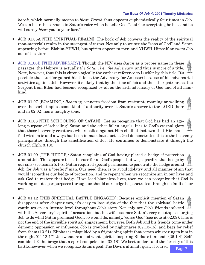<span id="page-6-0"></span>*barak,* which normally means to *bless. Barak* thus appears euphemistically four times in Job. We can hear the sarcasm in Satan's voice when he tells God, "…strike everything he has, and he will surely *bless* you to your face."

- JOB 01.06A [THE SPIRITUAL REALM]: The book of Job conveys the reality of the spiritual (non-material) realm in the strongest of terms. Not only to we see the "sons of God" and Satan appearing before Elohim-YHWH, but spirits appear to men and YHWH Himself answers Job out of the storm.
- [JOB 01.06B \[THE ADVERSARY\]](#page-2-0): Though the NIV uses *Satan* as a proper name in these passages, the Hebrew is actually *the Satan,* i.e., *the Adversary,* and thus is more of a title. Note, however, that this is chronologically the earliest reference to Lucifer by this title. It's possible that Lucifer gained his title as the Adversary (or Accuser) because of his adversarial activities against Job. However, it's likely that by the time of Job and the other patriarchs, the Serpent from Eden had become recognized by all as the arch adversary of God and of all mankind.
- JOB 01.07 [ROAMING]: *Roaming* connotes freedom from restraint; roaming or walking over the earth implies some kind of authority over it. Satan's answer to the LORD (here and in 02.02) has a haughty tone.
- JOB 01.08 [THE SCHOOLING OF SATAN]: Let us recognize that God has had an agelong purpose of "schooling" Satan and the other fallen angels. It is to God's eternal glory that those heavenly creatures who rebelled against Him shall at last own that His manifold wisdom is and always has been immaculate. Just as God demonstrated this to the heavenly principalities through the sanctification of Job, He continues to demonstrate it through the church (Eph. 3.10).
- JOB 01.09 [THE HEDGE]: Satan complains of God having placed a hedge of protection around Job. This appears to be the case for all God's people, but we jeopardize that hedge by our sins (see Isaiah 5.1-5). Satan required special permission to penetrate the hedge around Job, for Job was a "perfect" man. Our need then, is to avoid idolatry and all manner of sin that would jeopardize our hedge of protection, and to repent when we recognize sin in our lives and ask God to restore that hedge. If we lead blameless lives, then we can recognize that God is working out deeper purposes through us should our hedge be penetrated through no fault of our own.
- JOB 01.12 [THE SPIRITUAL BATTLE ENGAGED]: Because explicit mention of Satan disappears after chapter two, it's easy to lose sight of the fact that the spiritual battle continues on an intense level throughout Job's story. Not only are Job's friends infected with the Adversary's spirit of accusation, but his wife becomes Satan's very mouthpiece urging Job to do what Satan promised God Job would do, namely, "curse God" (see note at 02.09). This is not the end of the invisible spiritual engagement, however. Both Job and his friends come under demonic oppression or influence. Job is troubled by nightmares (07.13-15), and begs for relief from them (13.21). Eliphaz is misguided by a frightening spirit that comes whispering to him in the night (04.12-17). Job wonders aloud what spirit is inspiring Bildad's innuendo (26.1-4). Selfconfident Elihu brags that a spirit compels him (32.18). We best understand the ferocity of this battle, however, when we recognize Satan's goal. The Devil's ultimate goal, of course,

Page 7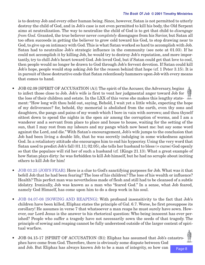<span id="page-7-0"></span>is to destroy Job and every other human being. Since, however, Satan is not permitted to utterly destroy the child of God, and in Job's case is not even permitted to kill his body, the Old Serpent aims at neutralization. The way to neutralize the child of God is to get that child to *disengage from God.* Granted, the true believer never *completely* disengages from his Savior, but Satan all too often succeeds in getting the believer to grow cold toward his God, to stop drawing near to God, to give up on intimacy with God. This is what Satan worked so hard to accomplish with Job. Satan had to neutralize Job's strategic influence in the community (see note at 01.03). If he could not accomplish it by killing Job, he would try to destroy Job's reputation, and more importantly, try to chill Job's heart toward God. Job loved God, but if Satan could get that love to cool, then people would no longer be drawn to God through Job's fervent devotion. If Satan could kill Job's hope, people would stop asking Job for the reason behind that hope (cf. 1 Peter 3.15). It is in pursuit of these destructive ends that Satan relentlessly hammers upon Job with every means that comes to hand.

- JOB 02.09 [SPIRIT OF ACCUSATION (A)]: The spirit of the Accuser, the Adversary, begins to infect those close to Job. Job's wife is first to vent her judgmental anger toward Job for the loss of their children and estate. In the LXX of this verse she makes this lengthy statement: "How long wilt thou hold out, saying, Behold, I wait yet a little while, expecting the hope of my deliverance? for, behold, thy memorial is abolished from the earth, even thy sons and daughters, the pangs and pains of my womb which I bore in vain with sorrows; and thou thyself sittest down to spend the nights in the open air among the corruption of worms, and I am a wanderer and a servant from place to place and house to house, waiting for the setting of the sun, that I may rest from my labours and my pangs which now beset me: but say some word against the Lord, and die." With Satan's encouragement, Job's wife jumps to the conclusion that Job had been living a double life, that he was secretly indulging in some wickedness against God. In a retaliatory attitude she encourages him to end his hypocrisy. Using the very word that Satan used to predict Job's fall (01.11; 02.05), she tells her husband to bless (= curse) God openly so that the populace will rid her of such a husband (cf. 1Kings 21.13). What a great example of how Satan plays dirty: he was forbidden to kill Job himself, but he had no scruple about inciting others to kill Job for him!
- [JOB 03.25 \[JOB'S FEAR\]:](#page-2-0) Here is a clue to God's sanctifying purposes for Job. What was it that befell Job that he had been fearing? The loss of his children? The loss of his wealth or influence? Health? This perfect man was nevertheless made of flesh and still had to be cleansed of a subtle idolatry. Ironically, Job was known as a man who "feared God." In a sense, what Job feared, namely God Himself, has come upon him to do a deep work in his soul.
- [JOB 04.07-08 \[SOWING AND REAPING\]](#page-2-0): With profound insensitivity to the fact that Job's children have been killed, Eliphaz states the principle of Gal. 6.7. Worse, he first presuppose its corollary! He assumes in verse 7 that whatsoever a man reaps he must surely have sown. However, our Lord Jesus is the answer to his rhetorical question: Who being innocent has ever perished? People who suffer a tragedy have not necessarily sown the seeds of that tragedy. The principle of sowing and reaping cannot be fully understood outside of the larger context of spiritual warfare.
- JOB 04.15-17 [SPIRIT OF ACCUSATION (B)]: Eliphaz has assumed that Job's catastrophes have come from God. Therefore, there is obviously some dispute between God and Job. But Eliphaz has always known Job to be a man of integrity, so how can

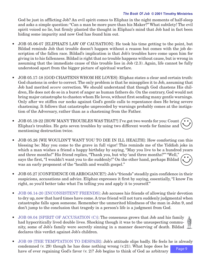<span id="page-8-0"></span>God be just in afflicting Job? An evil spirit comes to Eliphaz in the night moments of half-sleep and asks a simple question: "Can a man be more pure than his Maker?" What subtlety! The evil spirit voiced no lie, but firmly planted the thought in Eliphaz's mind that Job had in fact been hiding some impurity and now God has found him out.

- JOB 05.06-07 [ELIPHAZ'S LAW OF CAUSATION]: He took his time getting to the point, but Bildad reminds Job that trouble doesn't happen without a reason but comes with the job description of the fallen race. Bildad's implication is that Job's troubles have come upon him for giving in to his fallenness. Bildad is right that no trouble happens without cause, but is wrong in assuming that the immediate cause of this trouble lies in Job (2.3). Again, life cannot be fully understood apart from the bigger picture of spiritual warfare.
- JOB 05.17-18 [GOD CHASTENS WHOM HE LOVES]: Eliphaz states a clear and certain truth: God chastens in order to correct. The only problem is that he misapplies it to Job, assuming that Job had merited *severe* correction. We should understand that though God chastens His children, He does not do so in a burst of anger as human fathers do. On the contrary, God would not bring major catastrophe to chasten whom He loves, without first sending many gentle warnings. Only after we stiffen our necks against God's gentle calls to repentance does He bring severe chastening. It follows that catastrophe unpreceded by warnings probably comes at the instigation of the Adversary, rather than as a chastening from the Father.
- JOB 05.19-22 [HOW MANY TROUBLES WAS THAT?] I've got two words for you: Count Eliphaz's troubles. He gets seven troubles by using two different words for famine and mentioning destruction twice.
- JOB 05.26 [WE WOULDN'T WANT YOU TO DIE IN ILL HEALTH]: How comforting can this blessing be: May you come to the grave in full vigor! This reminds me of the Yiddish joke in which a man wishes a friend a happy birthday by saying, "May you live to be a hundred years and three months!" His friend replies, "Thank you, but why 'and three months?'" "Well," says the first, "I wouldn't want you to die suddenly!" On the other hand, perhaps Bildad was an early proponent of the "health and wealth gospel."
- JOB 05.27 [CONFIDENCE OR ARROGANCE?]: Job's "friends" steadily gain confidence in their suspicions, accusations and advice. Eliphaz expresses it first by saying, essentially, "I know I'm right, so you'd better take what I'm telling you and apply it to yourself."
- [JOB 06.14-20 \[INCONSISTENT FRIENDS\]](#page-2-0): Job accuses his friends of allowing their devotion to dry up, now that hard times have come. A true friend will not turn suddenly judgmental when catastrophe falls upon someone. Remember the unmerited blindness of the man in John 9, and don't jump to the conclusion that tragedy in a person's life is a judgment from God.
- [JOB 08.04 \[SPIRIT OF ACCUSATION \(C\)\]:](#page-3-0) The consensus grows that Job and his family had hypocritically lived double lives. Shocking though it was to the unsuspecting community, some of Job's family were secretly sinning in a manner deserving of death. Bildad declares this verdict against Job's children.
- Page 9 • [JOB 09 \[THE TEMPTATION TO DESPAIR\]:](#page-3-0) Job's attitude slips badly. He feels he is already condemned  $(v. 29)$  though he has done nothing wrong  $(v.21)$ . What hope does he have of ever regaining God's favor (v. 2)? Job begins to think of God as arbitrary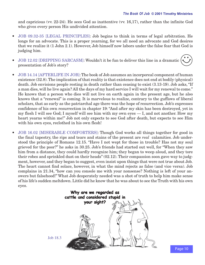<span id="page-9-0"></span>and capricious (vv. 22-24). He sees God as inattentive (vv. 16,17), rather than the infinite God who gives every person His undivided attention.

- [JOB 09.32-35 \[LEGAL PRINCIPLES\]](#page-3-0): Job begins to think in terms of legal arbitration. He longs for an advocate. This is a proper yearning, for we all need an advocate and God desires that we realize it (1 John 2.1). However, Job himself now labors under the false fear that God is judging him.
- [JOB 12.02 \[DRIPPING SARCASM\]](#page-3-0): Wouldn't it be fun to deliver this line in a dramatic presentation of Job's story?
- [JOB 14.14 \[AFTERLIFE IN JOB\]:](#page-3-0) The book of Job assumes an incorporeal component of human existence (32.8). The implication of that reality is that existence does not end at bodily (physical) death. Job envisions people resting in death rather than ceasing to exist (3.13-19). Job asks, "If a man dies, will he live again? All the days of my hard service I will wait for my renewal to come." He knows that a person who dies will not live on earth again in the present age, but he also knows that a "renewal" is coming. It is marvelous to realize, contrary to the guffaws of liberal scholars, that as early as the patriarchal age there was the hope of resurrection. Job's expresses confidence of his own resurrection in chapter 19: "And after my skin has been destroyed, yet in my flesh I will see God; I myself will see him with my own eyes — I, and not another. How my heart yearns within me!" Job not only expects to see God after death, but expects to see Him with his own eyes, reclothed in his own flesh!
- [JOB 16.02 \[MISERABLE COMFORTERS\]:](#page-3-0) Though God works all things together for good in the final tapestry, the rips and tears and stains of the present are *real* calamities. Job understood the principle of Romans 12.15. "Have I not wept for those in trouble? Has not my soul grieved for the poor?" he asks in 30.25. Job's friends had started out well, for "When they saw him from a distance, they could hardly recognize him; they began to weep aloud, and they tore their robes and sprinkled dust on their heads" (02.12). Their compassion soon gave way to judgment, however, and they began to suggest, even insist upon things that were not true about Job. The heart cannot find solace, however, in what the mind rejects as false (and vice versa). Job complains in 21.34, "how can you console me with your nonsense? Nothing is left of your answers but falsehood!" What Job desperately needed was a shot of truth to help him make sense of his life's sudden meltdown. Little did he know that he was about to see the Truth with his own eyes.



[Job 18.3](#page-3-0)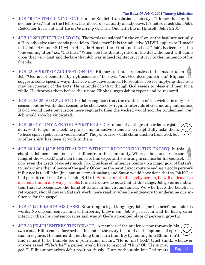- <span id="page-10-0"></span>• [JOB 19.25A \[THE LIVING ONE\]](#page-3-0): In our English translations, Job says, "I know that my Redeemer lives," but in the Hebrew, the life word is actually an adjective. It's not so much that Job's Redeemer lives, but that He is *the Living One,* the One with life in Himself (John 5.26).
- [JOB 19.25B \[THE FINAL WORD\]](#page-3-0): The words translated "in the end" or "at the last" are actually a Heb. adjective that stands parallel to "Redeemer." It is the adjective YHWH applies to Himself in Isaiah 44.6 and 48.11 when He calls Himself the "First and the Last." Job's Redeemer is the "one coming after," i.e., "the Last." When Job has disintegrated in the dust, the Lord will stand upon that very dust and declare that Job was indeed righteous, contrary to the innuendo of his friends.
- [JOB 22 \[SPIRIT OF ACCUSATION \(D\)\]](#page-3-0): Eliphaz continues relentless in his attack upon Job. "God is not benefited by righteousness," he says, "but God does punish sin." Eliphaz  $\mathbb{R}$ suggests some specific ways that Job may have sinned. He rebukes Job for implying that God may be ignorant of the facts. He reminds Job that though God seems to bless evil men for a while, He destroys them before their time. Eliphaz urges Job to repent and be restored.
- [JOB 24.18-25 \[SLOW JUSTICE\]](#page-3-0): Job recognizes that the exaltation of the wicked is only for a season, but he wants that season to be shortened by regular intervals of God meting out justice. If God would mete out justice more regularly, then the wicked would soon be condemned, *and* Job would soon be vindicated.
- [JOB 26.01-04 \[MY ARE YOU SPIRIT-FILLED!\]](#page-3-0): In one of Job's great sardonic rejoinders, with tongue in cheek he praises his talkative friends. Job insightfully asks them, "whose spirit spoke from your mouth?" They of course would claim unction from God, but another spirit has been at work in them.
- [JOB 29.1-30.1 \[JOB NEUTRALIZED WITHOUT RECOGNIZING THE ENEMY\]](#page-3-0): In this chapter, Job bemoans his loss of influence in the community. Whereas he once "broke the fangs of the wicked," and men listened to him expectantly waiting in silence for his counsel, now even the dregs of society mock Job. This loss of influence points up a major goal of Satan's: to undermine the influence of the godly. Of course the most direct route to ending a godly person's influence is to kill him (in a non-martyr situation), and Satan would have done that to Job if God had permitted it (ch. 2.6; vi*z.* John 8.44). If Satan cannot kill a godly person, he will endeavor to discredit him in any way possible. It is instructive to note that at this stage, Job gives no indication that he recognizes the hand of Satan in his circumstances. We who have the benefit of retrospect, should discern Satan's work more readily when he endeavors to undermine our influence for the gospel.
- [JOB 31 \[JOB RESTS HIS CASE\]:](#page-3-0) Returning to legal language, Job signs his brief and ends his words. No one can convict him of harboring known sin. Job *is* perfect in that he had greater integrity than his contemporaries and was at God's appointed place of personal growth.
- Page 11 • [JOB 32 \[ELIHU ENTERS THE DEBATE\]:](#page-4-0) A member of the audience now throws in his two cents. Elihu comes forward at the end of the story to stand as the epitome of spiritual arrogance. His mother did not help him learn humility by naming him Elihu. You'd find it hard to be humble too if your name meant, "He is (my) God." (Just think, whenever anyone asked, "Who's he?" a person would have to respond, "Him? Oh, 'He is (my) god'.") Elihu summarizes Job's position thusly: "I am without sin but God treats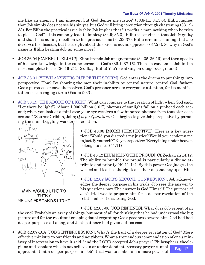<span id="page-11-0"></span>me like an enemy…I am innocent but God denies me justice" (33.8-11; 34.5,6). Elihu implies that Job simply does not see his sin yet, but God will bring conviction through chastening (33.12- 33). For Elihu the practical issue is this: Job implies that "it profits a man nothing when he tries to please God"—this can only lead to impiety (34.9; 35.3). Elihu is convinced that Job *is* guilty and that he is adding rebellion to his previous sins (34.33-37). Elihu errs in assuming that Job deserves his disaster, but he is right about this: God is not an oppressor (37.23). So why in God's name is Elihu beating Job up some more?

- JOB 36.04 [CAREFUL, ELIHU!]: Elihu brands Job an ignoramus (34.35; 36.16), and then speaks of his own knowledge in the same terms as God's (36.4; 37.16). Then he condemns Job in the most complete terms (36.16-21). Red flag, Elihu! You're walking on dangerous ground!
- [JOB 38.01 \[YHWH ANSWERS OUT OF THE STORM\]:](#page-4-0) God enters the drama to put things into perspective. How? By showing the men their inability to: control nature, control God, fathom God's purposes, or save themselves. God's presence arrests everyone's attention, for its manifestation is as a raging storm (Psalm 50.3).
- [JOB 38.19 \[THE ABODE OF LIGHT\]:](#page-4-0) What can compare to the creation of light when God said, "Let there be light"? "About 1,000 billion  $(10^{12})$  photons of sunlight fall on a pinhead each second; when you look at a faint star, your eye receives a few hundred photons from that star each second." (Source: Gribbin, John; *Q is for Quantum)* God begins to give Job perspective by parad-



MAN WOULD LIKE TO THINK HE UNDERSTANDS LIGHT

• JOB 40.08 [MORE PERSPECTIVE]: Here is a key question: "Would you discredit my justice? Would you condemn me to justify yourself?" Key perspective: "Everything under heaven belongs to me." $(41.11)$ 

• JOB 40.12 [HUMBLING THE PROUD]: Cf. Zechariah 14.12. The ability to humble the proud is particularly a divine attribute and priority (40.11-14). By this power God judges the wicked and teaches the righteous their dependency upon Him.

• [JOB 42.02 \[JOB'S SECOND CONFESSION\]:](#page-4-0) Job acknowledges the deeper purpose in his trials. Job sees the answer to his questions now. The answer is God Himself. The purpose of Job's trial was to prepare him for a deeper revelation of the relational, self-disclosing God.

• JOB 42.05-06 [JOB REPENTS]: What does Job repent of in

the end? Probably an array of things, but most of all for thinking that he had understood the big picture and for the resultant creeping doubt regarding God's goodness toward him. God had had deeper purposes all along, and Job's patience had given out too soon.

Page 12 • JOB 42.07-10A [JOB'S INTERCESSION]: What's the fruit of a deeper revelation of God? More effective ministry to our friends and neighbors. What a tremendous commendation of one's ministry of intercession to have it said, "and the LORD accepted Job's prayer." Philosophers, theologians and scholars who do not believe in or understand intercessory prayer cannot appreciate that a deeper purpose in Job's trial was to make him a more powerful